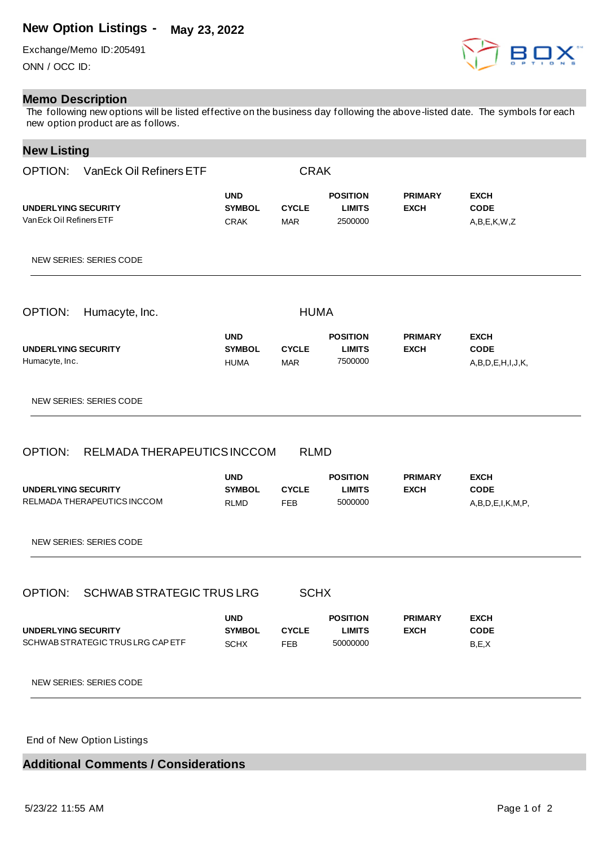## **New Option Listings - May 23, 2022**

Exchange/Memo ID:205491 ONN / OCC ID:

## **Memo Description**

The following new options will be listed effective on the business day following the above-listed date. The symbols for each new option product are as follows.

## **New Listing**

| OPTION: VanEck Oil Refiners ETF                                                                 |                                            | <b>CRAK</b>                        |                                              |                               |                                                       |
|-------------------------------------------------------------------------------------------------|--------------------------------------------|------------------------------------|----------------------------------------------|-------------------------------|-------------------------------------------------------|
| UNDERLYING SECURITY<br>Van Eck Oil Refiners ETF                                                 | <b>UND</b><br><b>SYMBOL</b><br><b>CRAK</b> | <b>CYCLE</b><br><b>MAR</b>         | <b>POSITION</b><br><b>LIMITS</b><br>2500000  | <b>PRIMARY</b><br><b>EXCH</b> | <b>EXCH</b><br><b>CODE</b><br>A,B,E,K,W,Z             |
| NEW SERIES: SERIES CODE                                                                         |                                            |                                    |                                              |                               |                                                       |
| OPTION:<br>Humacyte, Inc.                                                                       |                                            | <b>HUMA</b>                        |                                              |                               |                                                       |
| UNDERLYING SECURITY<br>Humacyte, Inc.                                                           | <b>UND</b><br><b>SYMBOL</b><br><b>HUMA</b> | <b>CYCLE</b><br><b>MAR</b>         | <b>POSITION</b><br><b>LIMITS</b><br>7500000  | <b>PRIMARY</b><br><b>EXCH</b> | <b>EXCH</b><br><b>CODE</b><br>A,B,D,E,H,I,J,K,        |
|                                                                                                 |                                            |                                    |                                              |                               |                                                       |
| <b>NEW SERIES: SERIES CODE</b>                                                                  |                                            |                                    |                                              |                               |                                                       |
| RELMADA THERAPEUTICS INCCOM                                                                     | <b>UND</b><br><b>SYMBOL</b><br><b>RLMD</b> | <b>RLMD</b><br><b>CYCLE</b><br>FEB | <b>POSITION</b><br><b>LIMITS</b><br>5000000  | <b>PRIMARY</b><br><b>EXCH</b> | <b>EXCH</b><br><b>CODE</b><br>A, B, D, E, I, K, M, P, |
| OPTION:<br>UNDERLYING SECURITY<br>RELMADA THERAPEUTICS INCCOM<br><b>NEW SERIES: SERIES CODE</b> |                                            |                                    |                                              |                               |                                                       |
| <b>SCHWAB STRATEGIC TRUS LRG</b><br>OPTION:                                                     |                                            | <b>SCHX</b>                        |                                              |                               |                                                       |
| <b>UNDERLYING SECURITY</b><br>SCHWAB STRATEGIC TRUS LRG CAP ETF                                 | <b>UND</b><br><b>SYMBOL</b><br><b>SCHX</b> | <b>CYCLE</b><br>FEB                | <b>POSITION</b><br><b>LIMITS</b><br>50000000 | <b>PRIMARY</b><br><b>EXCH</b> | <b>EXCH</b><br><b>CODE</b><br>B, E, X                 |

End of New Option Listings

**Additional Comments / Considerations**